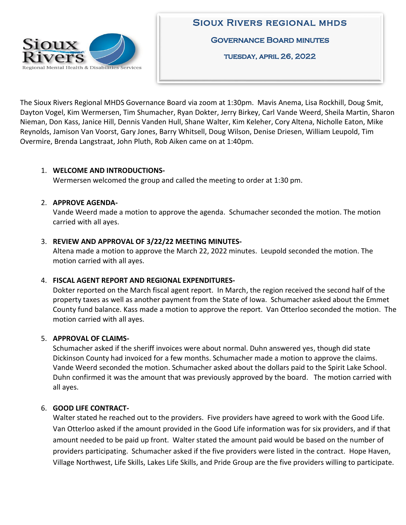

The Sioux Rivers Regional MHDS Governance Board via zoom at 1:30pm. Mavis Anema, Lisa Rockhill, Doug Smit, Dayton Vogel, Kim Wermersen, Tim Shumacher, Ryan Dokter, Jerry Birkey, Carl Vande Weerd, Sheila Martin, Sharon Nieman, Don Kass, Janice Hill, Dennis Vanden Hull, Shane Walter, Kim Keleher, Cory Altena, Nicholle Eaton, Mike Reynolds, Jamison Van Voorst, Gary Jones, Barry Whitsell, Doug Wilson, Denise Driesen, William Leupold, Tim Overmire, Brenda Langstraat, John Pluth, Rob Aiken came on at 1:40pm.

# 1. **WELCOME AND INTRODUCTIONS-**

Wermersen welcomed the group and called the meeting to order at 1:30 pm.

#### 2. **APPROVE AGENDA-**

Vande Weerd made a motion to approve the agenda. Schumacher seconded the motion. The motion carried with all ayes.

#### 3. **REVIEW AND APPROVAL OF 3/22/22 MEETING MINUTES-**

Altena made a motion to approve the March 22, 2022 minutes. Leupold seconded the motion. The motion carried with all ayes.

# 4. **FISCAL AGENT REPORT AND REGIONAL EXPENDITURES-**

Dokter reported on the March fiscal agent report. In March, the region received the second half of the property taxes as well as another payment from the State of Iowa. Schumacher asked about the Emmet County fund balance. Kass made a motion to approve the report. Van Otterloo seconded the motion. The motion carried with all ayes.

# 5. **APPROVAL OF CLAIMS-**

Schumacher asked if the sheriff invoices were about normal. Duhn answered yes, though did state Dickinson County had invoiced for a few months. Schumacher made a motion to approve the claims. Vande Weerd seconded the motion. Schumacher asked about the dollars paid to the Spirit Lake School. Duhn confirmed it was the amount that was previously approved by the board. The motion carried with all ayes.

# 6. **GOOD LIFE CONTRACT-**

Walter stated he reached out to the providers. Five providers have agreed to work with the Good Life. Van Otterloo asked if the amount provided in the Good Life information was for six providers, and if that amount needed to be paid up front. Walter stated the amount paid would be based on the number of providers participating. Schumacher asked if the five providers were listed in the contract. Hope Haven, Village Northwest, Life Skills, Lakes Life Skills, and Pride Group are the five providers willing to participate.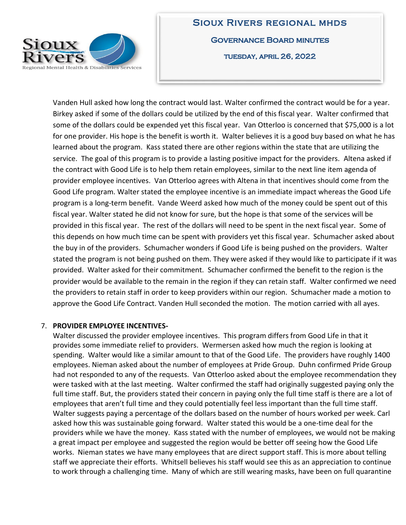

**SIOUX RIVERS REGIONAL MHDS GOVERNANCE BOARD MINUTES** TUESDAY, APRIL 26, 2022

Vanden Hull asked how long the contract would last. Walter confirmed the contract would be for a year. Birkey asked if some of the dollars could be utilized by the end of this fiscal year. Walter confirmed that some of the dollars could be expended yet this fiscal year. Van Otterloo is concerned that \$75,000 is a lot for one provider. His hope is the benefit is worth it. Walter believes it is a good buy based on what he has learned about the program. Kass stated there are other regions within the state that are utilizing the service. The goal of this program is to provide a lasting positive impact for the providers. Altena asked if the contract with Good Life is to help them retain employees, similar to the next line item agenda of provider employee incentives. Van Otterloo agrees with Altena in that incentives should come from the Good Life program. Walter stated the employee incentive is an immediate impact whereas the Good Life program is a long-term benefit. Vande Weerd asked how much of the money could be spent out of this fiscal year. Walter stated he did not know for sure, but the hope is that some of the services will be provided in this fiscal year. The rest of the dollars will need to be spent in the next fiscal year. Some of this depends on how much time can be spent with providers yet this fiscal year. Schumacher asked about the buy in of the providers. Schumacher wonders if Good Life is being pushed on the providers. Walter stated the program is not being pushed on them. They were asked if they would like to participate if it was provided. Walter asked for their commitment. Schumacher confirmed the benefit to the region is the provider would be available to the remain in the region if they can retain staff. Walter confirmed we need the providers to retain staff in order to keep providers within our region. Schumacher made a motion to approve the Good Life Contract. Vanden Hull seconded the motion. The motion carried with all ayes.

#### 7. **PROVIDER EMPLOYEE INCENTIVES-**

Walter discussed the provider employee incentives. This program differs from Good Life in that it provides some immediate relief to providers. Wermersen asked how much the region is looking at spending. Walter would like a similar amount to that of the Good Life. The providers have roughly 1400 employees. Nieman asked about the number of employees at Pride Group. Duhn confirmed Pride Group had not responded to any of the requests. Van Otterloo asked about the employee recommendation they were tasked with at the last meeting. Walter confirmed the staff had originally suggested paying only the full time staff. But, the providers stated their concern in paying only the full time staff is there are a lot of employees that aren't full time and they could potentially feel less important than the full time staff. Walter suggests paying a percentage of the dollars based on the number of hours worked per week. Carl asked how this was sustainable going forward. Walter stated this would be a one-time deal for the providers while we have the money. Kass stated with the number of employees, we would not be making a great impact per employee and suggested the region would be better off seeing how the Good Life works. Nieman states we have many employees that are direct support staff. This is more about telling staff we appreciate their efforts. Whitsell believes his staff would see this as an appreciation to continue to work through a challenging time. Many of which are still wearing masks, have been on full quarantine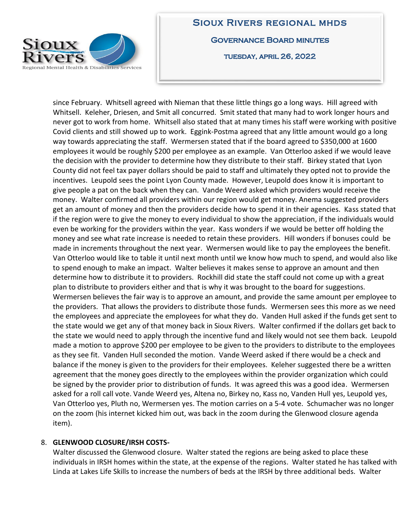

# **SIOUX RIVERS REGIONAL MHDS GOVERNANCE BOARD MINUTES**

TUESDAY, APRIL 26, 2022

since February. Whitsell agreed with Nieman that these little things go a long ways. Hill agreed with Whitsell. Keleher, Driesen, and Smit all concurred. Smit stated that many had to work longer hours and never got to work from home. Whitsell also stated that at many times his staff were working with positive Covid clients and still showed up to work. Eggink-Postma agreed that any little amount would go a long way towards appreciating the staff. Wermersen stated that if the board agreed to \$350,000 at 1600 employees it would be roughly \$200 per employee as an example. Van Otterloo asked if we would leave the decision with the provider to determine how they distribute to their staff. Birkey stated that Lyon County did not feel tax payer dollars should be paid to staff and ultimately they opted not to provide the incentives. Leupold sees the point Lyon County made. However, Leupold does know it is important to give people a pat on the back when they can. Vande Weerd asked which providers would receive the money. Walter confirmed all providers within our region would get money. Anema suggested providers get an amount of money and then the providers decide how to spend it in their agencies. Kass stated that if the region were to give the money to every individual to show the appreciation, if the individuals would even be working for the providers within the year. Kass wonders if we would be better off holding the money and see what rate increase is needed to retain these providers. Hill wonders if bonuses could be made in increments throughout the next year. Wermersen would like to pay the employees the benefit. Van Otterloo would like to table it until next month until we know how much to spend, and would also like to spend enough to make an impact. Walter believes it makes sense to approve an amount and then determine how to distribute it to providers. Rockhill did state the staff could not come up with a great plan to distribute to providers either and that is why it was brought to the board for suggestions. Wermersen believes the fair way is to approve an amount, and provide the same amount per employee to the providers. That allows the providers to distribute those funds. Wermersen sees this more as we need the employees and appreciate the employees for what they do. Vanden Hull asked if the funds get sent to the state would we get any of that money back in Sioux Rivers. Walter confirmed if the dollars get back to the state we would need to apply through the incentive fund and likely would not see them back. Leupold made a motion to approve \$200 per employee to be given to the providers to distribute to the employees as they see fit. Vanden Hull seconded the motion. Vande Weerd asked if there would be a check and balance if the money is given to the providers for their employees. Keleher suggested there be a written agreement that the money goes directly to the employees within the provider organization which could be signed by the provider prior to distribution of funds. It was agreed this was a good idea. Wermersen asked for a roll call vote. Vande Weerd yes, Altena no, Birkey no, Kass no, Vanden Hull yes, Leupold yes, Van Otterloo yes, Pluth no, Wermersen yes. The motion carries on a 5-4 vote. Schumacher was no longer on the zoom (his internet kicked him out, was back in the zoom during the Glenwood closure agenda item).

# 8. **GLENWOOD CLOSURE/IRSH COSTS-**

Walter discussed the Glenwood closure. Walter stated the regions are being asked to place these individuals in IRSH homes within the state, at the expense of the regions. Walter stated he has talked with Linda at Lakes Life Skills to increase the numbers of beds at the IRSH by three additional beds. Walter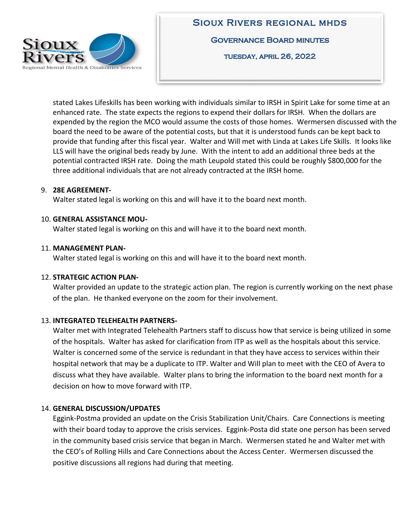

stated Lakes Lifeskills has been working with individuals similar to IRSH in Spirit Lake for some time at an enhanced rate. The state expects the regions to expend their dollars for IRSH. When the dollars are expended by the region the MCO would assume the costs of those homes. Wermersen discussed with the board the need to be aware of the potential costs, but that it is understood funds can be kept back to provide that funding after this fiscal year. Walter and Will met with Linda at Lakes Life Skills. It looks like LLS will have the original beds ready by June. With the intent to add an additional three beds at the potential contracted IRSH rate. Doing the math Leupold stated this could be roughly \$800,000 for the three additional individuals that are not already contracted at the IRSH home.

#### 9. **28E AGREEMENT-**

Walter stated legal is working on this and will have it to the board next month.

#### 10. **GENERAL ASSISTANCE MOU-**

Walter stated legal is working on this and will have it to the board next month.

#### 11. **MANAGEMENT PLAN-**

Walter stated legal is working on this and will have it to the board next month.

# 12. **STRATEGIC ACTION PLAN-**

Walter provided an update to the strategic action plan. The region is currently working on the next phase of the plan. He thanked everyone on the zoom for their involvement.

# 13. **INTEGRATED TELEHEALTH PARTNERS-**

Walter met with Integrated Telehealth Partners staff to discuss how that service is being utilized in some of the hospitals. Walter has asked for clarification from ITP as well as the hospitals about this service. Walter is concerned some of the service is redundant in that they have access to services within their hospital network that may be a duplicate to ITP. Walter and Will plan to meet with the CEO of Avera to discuss what they have available. Walter plans to bring the information to the board next month for a decision on how to move forward with ITP.

# 14. **GENERAL DISCUSSION/UPDATES**

Eggink-Postma provided an update on the Crisis Stabilization Unit/Chairs. Care Connections is meeting with their board today to approve the crisis services. Eggink-Posta did state one person has been served in the community based crisis service that began in March. Wermersen stated he and Walter met with the CEO's of Rolling Hills and Care Connections about the Access Center. Wermersen discussed the positive discussions all regions had during that meeting.